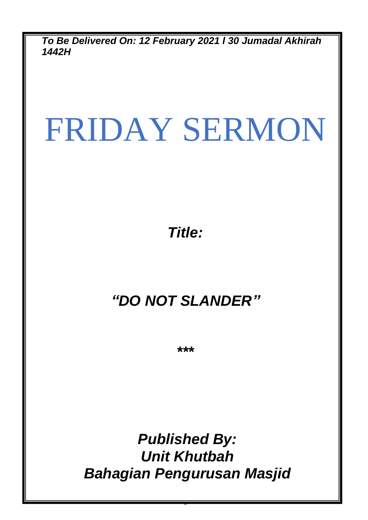*To Be Delivered On: 12 February 2021 l 30 Jumadal Akhirah 1442H*

# FRIDAY SERMON

*Title:*

## *"DO NOT SLANDER"*

*\*\*\**

*Published By: Unit Khutbah Bahagian Pengurusan Masjid*

0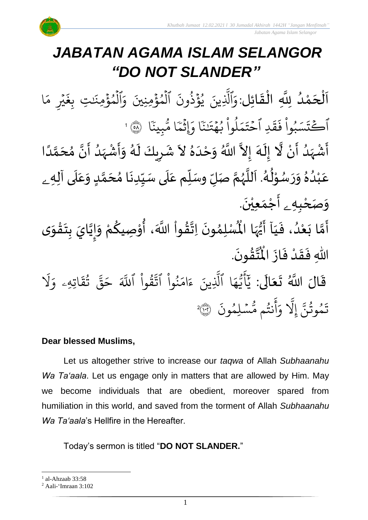# *JABATAN AGAMA ISLAM SELANGOR "DO NOT SLANDER"*

ا<br>إ ن<br>ا اَلْحَمْدُ لِلَّهِ الْقَائِلِ:وَٱلَّذِينَ يُؤَذُونَ ٱلْمُؤْمِنِينَ وَٱلْمُؤْمِنَتِ بِغَيْرِ مَا و<br>و ់<br>ត  $\overline{\phantom{a}}$ ֦֧֦֧֦֧֦֧֦֧֦֧֦֧֜֜֜֜֓֓֟֓֟֓֟֓֟֓֟֓<br>֧֝֜֜**֓**֧֓֝֟  $\overline{\phantom{a}}$  $\frac{1}{2}$ ֦֧֦֧֦֧֦֧֦֧֦֜֜֜֜֜֜֜<br>֧ׅ֝֜֜֜֜֜֜֜֜֜֜֜֝֜֜֞֟֟֟֟֟ جُرِ مَه<br>بيرِ مَه ہ<br>د  $\ddot{\cdot}$ تِ بِغَ<sub>ّ</sub> َٰ  $\ddot{\cdot}$ الْمُؤْمِنَٰ ہ<br>\$ و ہ<br>1 َ<br>َء ر<br>الْمُؤْمِنِينَ وَ ہ<br>ء و ہ<br>1  $\ddot{\cdot}$ ينَ يُؤَذُونَ و<br>په ہ<br>ء و<br>د بة<br>1 اِلْذِ َ<br>م و ا  $\ddot{\cdot}$ بِينَ و<br>مم ا م ا<br>أستر م ا ِإَوث ្ធ ٗ بر<br>م َٰ  $\tilde{\cdot}$ لموا بُهْتَن  $\frac{1}{2}$ ُ ْ مُ و<br>ا  $\frac{1}{2}$ بر<br>م  $\ddot{\phantom{0}}$ ت ِد ٱح  $\frac{1}{2}$  $\ddot{\phantom{0}}$ ق  $\ddot{\cdot}$ يَ<sub>ه</sub> وأقَ **ٔ** ُ أَكْتَسَبُواْ فَقَدِ أَحْتَمَلُواْ بُهْتَنَا وَإِثْمَا مُّبِينَا ۚ ۞ ' ہ<br>م

الا<br>ا أَشْهَدُ أَنْ لَّا إِلَهَ إِلاَّ اللَّهُ وَحْدَهُ لاَ شَرِيكَ لَهُ وَأَشْهَدُ أَنَّ مُحَمَّدًا ំ<br>• ँ<br>न و<br>ا ر<br>زن ْ َ<br>پ ์<br>-<br>1 ر<br>نو  $\frac{1}{2}$ ً<br>أ ت<br>م  $\frac{1}{2}$ ان<br>م  $\sum_{i=1}^{n}$ ،<br>ا ر<br>زا ْ<br>;  $\ddot{\mathbf{z}}$  $\frac{1}{2}$ ر<br>ر َ<br>ا  $\overline{\mathbf{z}}$  $\ddot{\phantom{0}}$  $\lambda$  $\frac{1}{2}$ َ<br>ا  $\tilde{\cdot}$ الله  $\tilde{\phantom{a}}$ عَبْدُهُ وَرَسُوْلُهُ. اَللَّهُمَّ صَلِّ وسَلِّم عَلَى سَيِّدِنَا مُحَمَّدٍ وَعَلَى آلِه<sub>ِ ــُ</sub>  $\frac{1}{2}$ ٍ<br>و ْ ً<br>م  $\overline{\mathbf{r}}$ ِ<br>م  $\tilde{\cdot}$ <u>لم</u> ر<br>آ )<br>ጎ  $\ddot{\phantom{0}}$  $\frac{1}{1}$  $\overline{\mathbf{1}}$ ِ<br>م  $\tilde{\mathbf{i}}$ تا<br>م ر<br>ر<br>ر نز<br>آ  $\overline{\phantom{a}}$ .<br>لم ٍ<br>مُ ់<br>្ و<br>م  $\ddot{\phantom{0}}$ و*َص<sub>َ</sub>حْبِهِ <sub>ۦ</sub> أَجْمَعِيْنَ.* ْ  $\ddot{\phantom{0}}$ ់<br>(  $\tilde{a}$  $\ddot{\mathbf{z}}$ 

- سَبِّرَ ـ سَبَّا أَيُّهَا الْمُسْلِمُونَ<br>أَمَّا بَعْدُ، فَيَا أَيُّهَا الْمُسْلِمُونَ  $\frac{1}{1}$  $\ddot{\cdot}$ ُ<br>و ំ<br>រ  $\ddot{\cdot}$ لة<br>م ِ<br>پنج  $\ddot{\phantom{0}}$ ›<br>ለ أَيُّهَا الْمُسْلِمُونَ اِتَّقُواْ اللَّهَ، أُوْصِيكُمْ وَإِيَّايَ بِتَقْوَى ِ<br>پاس <sup>ب</sup>ُر<br>•  $\sum_{i=1}^{n}$  $\tilde{\cdot}$ ֦֧<u>֦</u>  $\ddot{\phantom{0}}$  $\frac{1}{2}$ ا<br>ا !<br>-<br>- $\tilde{\cdot}$ ر<br>مخ ֦֧֦֧֦ **ہے**<br>'' ֦֧֦֧֦֧֦֧֦֧֦֧֦֧֦֧֦֧֦֧֦֧֦֧֜֓<br>**֧ ٍ** ا<br>به<br>: .  $\ddot{\phantom{0}}$ ؾڤۏڹؘ  $\frac{9}{4}$ ا<br>ایر<br>جو ہ<br>ا اللّٰهِ فَقَدْ فَازَ الْمُ  $\ddot{\cdot}$  $\frac{1}{2}$ ْ  $\frac{1}{2}$  $\frac{1}{2}$
- $\ddot{\phantom{0}}$ قَالَ اللَّهُ تَعَالَى:  $\ddot{\mathbf{r}}$ ِ<br>ای  $\frac{1}{2}$ ر<br>1 َل ر<br>م اتِهِۦ و  $\ddot{\mathbf{r}}$ ق ت ور لية<br>مع قة  $\overline{\phantom{a}}$ ح ذَ قُوا اللَّهَ ْ بِ ور لتد<br>بد نُوا اڌّ <u>ہ</u><br>ا ُ  $\frac{1}{2}$ ام ر<br>ء ء ِينَ یہ<br>۱ ا الَّذِ ر<br>م ه و<br>د سَ<br>ڊ -<br>ج  $\overline{\mathcal{L}}$ ِ<br>د بد  $\ddot{\cdot}$ سُلِمُونَ و  $\ddot{\phantom{0}}$ و<br>م نتُم مَّ و<br>په ِ<br>ج أ ِ<br>م و بة<br>1 َِل إ ذ تَمُوثُنَّ إِلَّا وَأَنتُم مُّسۡلِمُونَ ۞ و<br>په و<br>م 2

### **Dear blessed Muslims,**

Let us altogether strive to increase our *taqwa* of Allah *Subhaanahu Wa Ta'aala*. Let us engage only in matters that are allowed by Him. May we become individuals that are obedient, moreover spared from humiliation in this world, and saved from the torment of Allah *Subhaanahu Wa Ta'aala*'s Hellfire in the Hereafter.

Today's sermon is titled "**DO NOT SLANDER.**"

<sup>&</sup>lt;sup>1</sup> al-Ahzaab 33:58

<sup>2</sup> Aali-'Imraan 3:102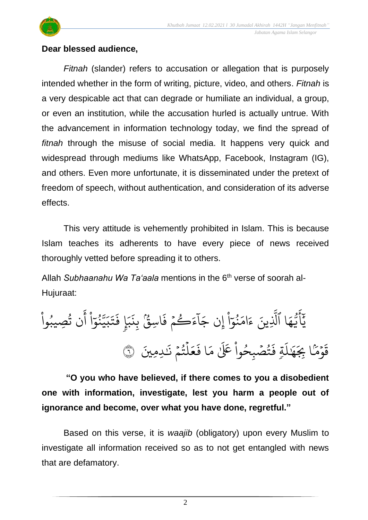

#### **Dear blessed audience,**

*Fitnah* (slander) refers to accusation or allegation that is purposely intended whether in the form of writing, picture, video, and others. *Fitnah* is a very despicable act that can degrade or humiliate an individual, a group, or even an institution, while the accusation hurled is actually untrue. With the advancement in information technology today, we find the spread of *fitnah* through the misuse of social media. It happens very quick and widespread through mediums like WhatsApp, Facebook, Instagram (IG), and others. Even more unfortunate, it is disseminated under the pretext of freedom of speech, without authentication, and consideration of its adverse effects.

This very attitude is vehemently prohibited in Islam. This is because Islam teaches its adherents to have every piece of news received thoroughly vetted before spreading it to others.

Allah *Subhaanahu Wa Ta'aala* mentions in the 6<sup>th</sup> verse of soorah al-Hujuraat:

 $\ddot{\cdot}$ اسِقٌ بِذَ ؚ**ۭ** و.<br>مو  $\ddot{\cdot}$ ف م َك ء  $\frac{1}{2}$ و  $\tilde{1}$ ا  $\tilde{\phantom{a}}$ ِن ج إ ؙ<br>
<sup>ٔ</sup> ا  $\frac{1}{\epsilon}$ بر<br>نمو ُو<br>و  $\frac{1}{2}$ ام  $\tilde{\epsilon}$ ء ِينَ بة<br>أ ا الَّذِ ر<br>م ه و<br>د سَ<br>ڊ ِ<br>ج  $\overline{\phantom{a}}$ ِ<br>ِرِ يَاَّيُّهَا الَّذِينَ ءَامَنُوٓا إِن جَاءَكُمْ فَاسِقٌ بِنَبَإٍ فَتَبَيَّنُوٓا أَن تُصِيبُوا ُ<br>ا و<br>' و<br>په ِ<br>ءَ أ <u>ہ</u><br>ا ا  $\frac{1}{\epsilon}$ بر<br>نمو ُ ن<br>مت يت<br>جد ِ<br>پ ب  $\ddot{\phantom{0}}$ ت  $\ddot{\cdot}$ ف ٖ إ ِ بر ِد ِمنيَ َ َٰ لمُتُمَّ نَـٰ  $\frac{1}{2}$ و<br>په ہ<br>1  $\frac{1}{2}$ ع  $\ddot{\cdot}$ ا ف ِ<br>م يُصۡبِحُواْ عَلَىٰ مَ َٰ <u>ہ</u><br>ا و<br>م و<br>په  $\ddot{\cdot}$ تم فَ<br>ك ر<br>آ  $\mu$ َٰ  $\frac{1}{2}$ ه  $\overline{a}$ ا ِِب ے<br>مر م و  $\ddot{\phantom{0}}$  $\ddot{\phantom{0}}$ قَوْمًا بِجَهَٰلَةٍ فَتُصۡبِحُوا عَلَّىٰ مَا فَعَلَّتُمۡ نَـٰدِمِينَ ۞

**"O you who have believed, if there comes to you a disobedient one with information, investigate, lest you harm a people out of ignorance and become, over what you have done, regretful."**

Based on this verse, it is *waajib* (obligatory) upon every Muslim to investigate all information received so as to not get entangled with news that are defamatory.

2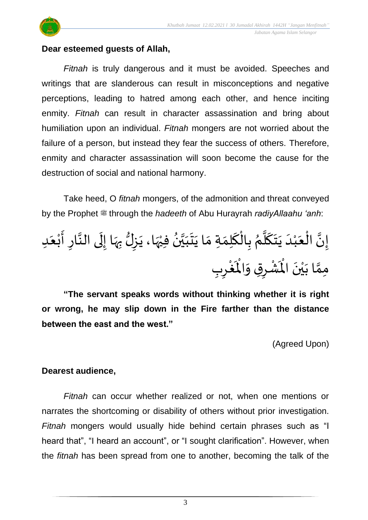



#### **Dear esteemed guests of Allah,**

*Fitnah* is truly dangerous and it must be avoided. Speeches and writings that are slanderous can result in misconceptions and negative perceptions, leading to hatred among each other, and hence inciting enmity. *Fitnah* can result in character assassination and bring about humiliation upon an individual. *Fitnah* mongers are not worried about the failure of a person, but instead they fear the success of others. Therefore, enmity and character assassination will soon become the cause for the destruction of social and national harmony.

Take heed, O *fitnah* mongers, of the admonition and threat conveyed by the Prophet  $\ddot{\text{m}}$  through the *hadeeth* of Abu Hurayrah *radiyAllaahu 'anh*:

 د َ ع ْ ب َ أ ار ا ىالن َ ل ا إ َ ه ب لُّ ز َ ا، ي َ ه ْ في ُ ن ا ي َ ب َ ت َ ا ي َ ةم َ م ل َ ك ْ ال ب ُ م ا ل َ ك َ ت َ ي َ د ْ ب َ ع ْ ال ا ن إ ب ر ْ غ َْ اْل َ ق و ر ْ ش َْ اْل َ ن ْ ي َ ا ب ا مم

**"The servant speaks words without thinking whether it is right or wrong, he may slip down in the Fire farther than the distance between the east and the west."**

(Agreed Upon)

#### **Dearest audience,**

*Fitnah* can occur whether realized or not, when one mentions or narrates the shortcoming or disability of others without prior investigation. *Fitnah* mongers would usually hide behind certain phrases such as "I heard that", "I heard an account", or "I sought clarification". However, when the *fitnah* has been spread from one to another, becoming the talk of the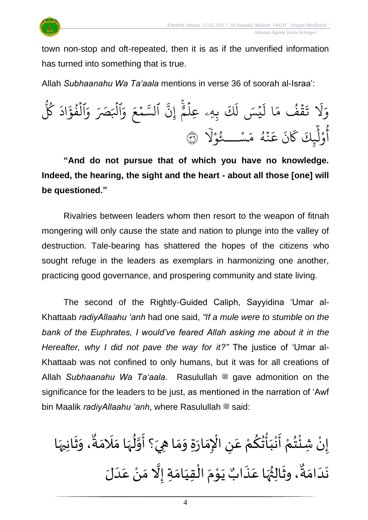

town non-stop and oft-repeated, then it is as if the unverified information has turned into something that is true.

Allah *Subhaanahu Wa Ta'aala* mentions in verse 36 of soorah al-Israa':



**"And do not pursue that of which you have no knowledge. Indeed, the hearing, the sight and the heart - about all those [one] will be questioned."**

Rivalries between leaders whom then resort to the weapon of fitnah mongering will only cause the state and nation to plunge into the valley of destruction. Tale-bearing has shattered the hopes of the citizens who sought refuge in the leaders as exemplars in harmonizing one another, practicing good governance, and prospering community and state living.

The second of the Rightly-Guided Caliph, Sayyidina 'Umar al-Khattaab *radiyAllaahu 'anh* had one said, *"If a mule were to stumble on the bank of the Euphrates, I would've feared Allah asking me about it in the Hereafter, why I did not pave the way for it?"* The justice of 'Umar al-Khattaab was not confined to only humans, but it was for all creations of Allah Subhaanahu Wa Ta'aala. Rasulullah is gave admonition on the significance for the leaders to be just, as mentioned in the narration of 'Awf bin Maalik *radiyAllaahu 'anh*, where Rasulullah  $\equiv$  said:

 $\sum_{i=1}^n$ ֦֧֦֧֦֦֦֦֦֦֦֦֦֦֧֦֝֜֜֓֟֓֟֓֟֓<br>֧֜֜֜֜**֓** إِنْ شِئْتُمْ أَنْبَأْتُكُمْ عَنِ الْإِمَارَةِ وَمَا هِيَ؟ أَوَّلُهَا مَلَامَةٌ، وَثَانِيهَا ليا .<br>م ْ <u>ہ</u> ِ<br>په ់<br>: َ ْ  $\frac{1}{2}$ ْ ُ<br>⊶ ە<br>م ំ<br>•  $\overline{\phantom{a}}$  $\frac{1}{2}$  $\frac{1}{2}$  $\frac{1}{\epsilon}$ تا<br>م  $\frac{1}{2}$  $\ddot{\phantom{0}}$  $\frac{1}{2}$  $\frac{1}{2}$  $\frac{1}{2}$  $\frac{1}{2}$ ्<br>,  $\frac{1}{2}$  $\frac{1}{2}$ ٌ ِ<br>مَة  $\frac{1}{2}$ ا<br>تار<br>1 يَوْمَ الْقِيَامَةِ إِلَّا  $\frac{1}{2}$  $\frac{1}{1}$ ֦֧֦֧֦֧֦֧֦֜֜֜֜֜֜֜֜<br>֧ׅׅ֝֜֜֜֜֜֜֜֜֜֜֝֜֜֝֜<del>֛</del>  $\frac{1}{2}$ ֦֧<sup>֦</sup>  $\ddot{\phantom{0}}$ **ء** ، وثَالِثُهَا عَذَابٌ  $\ddot{\cdot}$ .<br>م ِ<br>پُر<br>رُو ُ<br>ُ\*  $\frac{1}{2}$ و<br>م نَدَامَةٌ، وثَالِثُهَا عَذَابٌ يَوْمَ الْقِيَامَةِ إِلَّا مَنْ عَدَلَ  $\frac{1}{2}$  $\overline{\phantom{a}}$  $\ddot{\phantom{0}}$  $\frac{1}{1}$ ِ<br>م ْ  $\frac{1}{2}$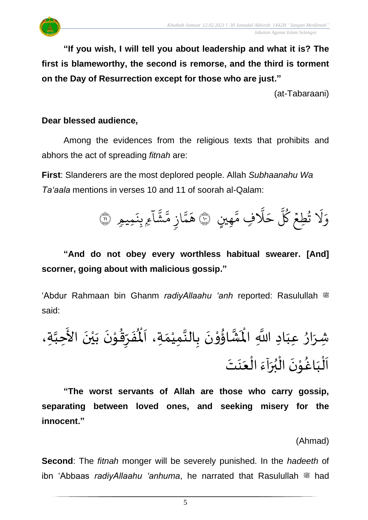**"If you wish, I will tell you about leadership and what it is? The first is blameworthy, the second is remorse, and the third is torment on the Day of Resurrection except for those who are just."** 

(at-Tabaraani)

#### **Dear blessed audience,**

Among the evidences from the religious texts that prohibits and abhors the act of spreading *fitnah* are:

**First**: Slanderers are the most deplored people. Allah *Subhaanahu Wa Ta'aala* mentions in verses 10 and 11 of soorah al-Qalam:



## **"And do not obey every worthless habitual swearer. [And] scorner, going about with malicious gossip."**

'Abdur Rahmaan bin Ghanm *radiyAllaahu 'anh* reported: Rasulullah <sup>26</sup> said:

َ ن ْ و ُ اؤ ا ش َْ اْل د َّللا ا ا َ عب ُ ار َ شر ة، ا حب َ األ َ ن ْ ي َ ب َ ن ْ و ُ ق ر َ ف ُْ ْل َ ة، ا َ م ْ مي ا الن ب َ ت َ ن َ ع ْ ال َ آء َ ر ُ ب ْ ال َ ن ْ و ُ اغ َ ب ْ ل َ ا

**"The worst servants of Allah are those who carry gossip, separating between loved ones, and seeking misery for the innocent."**

(Ahmad)

**Second**: The *fitnah* monger will be severely punished. In the *hadeeth* of ibn 'Abbaas *radiyAllaahu 'anhuma*, he narrated that Rasulullah  $\ddot{\mathcal{L}}$  had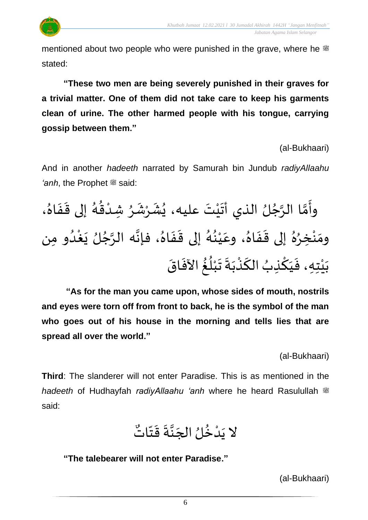

mentioned about two people who were punished in the grave, where he  $\ddot{\text{m}}$ stated:

**"These two men are being severely punished in their graves for a trivial matter. One of them did not take care to keep his garments clean of urine. The other harmed people with his tongue, carrying gossip between them."**

(al-Bukhaari)

And in another *hadeeth* narrated by Samurah bin Jundub *radiyAllaahu 'anh*, the Prophet  $\ddot{\mathscr{E}}$  said:

وأَمَّا الرَّجُلُ الذي أَتَيْتَ عليه، يُشَرْشَرُ شِدْقُهُ إلى قَفَاهُ، ُ<br>∕  $\ddot{\phantom{0}}$  $\ddot{\phantom{0}}$ و<br>گ )<br>። ْ ُ<br>ٌ  $\frac{1}{2}$ ْ  $\ddot{\phantom{0}}$ ُ<br>≀ َ ْ  $\ddot{\phantom{0}}$ ٍ<br>ٌ ا<br>په تا<br>م  $\frac{1}{2}$ ومَنْخِرُهُ إلى قَفَاهُ، وعَيْنُهُ إلى قَفَاهُ، فإنَّه الرَّجُلُ يَغْدُو مِن <br>ا ِ<br>وف  $\ddot{\phantom{0}}$ ِ<br>ِ ن<br>م ن<br>•<br>•  $\frac{1}{2}$  $\ddot{\cdot}$  $\ddot{\phantom{0}}$ و<br>گ ُ<br>پ ْ .<br>م  $\frac{1}{\lambda}$  $\frac{1}{2}$  $\frac{1}{2}$  $\frac{1}{\lambda}$ و<br>و ْ  $\frac{1}{2}$  $\ddot{\cdot}$ بَيْتِهِ، فَيَكْذِبُ الكَذْبَةَ تَبْلُغُ الآفَاقَ  $\frac{1}{2}$ ُ ُ ْ  $\ddot{\phantom{0}}$  $\frac{1}{2}$  $\ddot{\phantom{0}}$ ْ ์<br>-<br>-ُ <u>ہ</u> َ  $\frac{1}{2}$ ؗ<br>ٔ  $\frac{1}{2}$ 

**"As for the man you came upon, whose sides of mouth, nostrils and eyes were torn off from front to back, he is the symbol of the man who goes out of his house in the morning and tells lies that are spread all over the world."**

(al-Bukhaari)

**Third**: The slanderer will not enter Paradise. This is as mentioned in the *hadeeth* of Hudhayfah *radiyAllaahu 'anh* where he heard Rasulullah <sup>26</sup> said:

ُ<br>ื้\* لا يَدْخُلُ الجَنَّةَ قَتَّاتٌ  $\frac{1}{2}$  $\frac{1}{2}$  $\ddot{\phantom{0}}$ ا<br>با<br>•  $\overline{\phantom{a}}$ ُ<br>پ **ٔ**  $\ddot{\phantom{0}}$ 

**"The talebearer will not enter Paradise."**

(al-Bukhaari)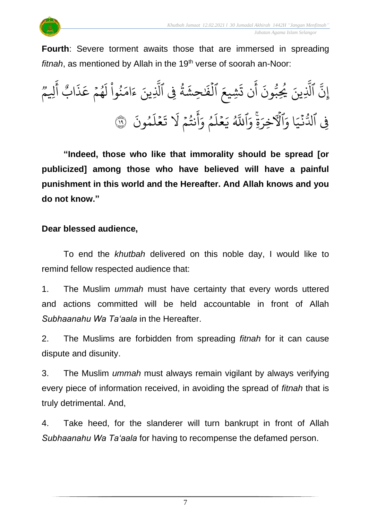

**Fourth**: Severe torment awaits those that are immersed in spreading *fitnah*, as mentioned by Allah in the 19<sup>th</sup> verse of soorah an-Noor:

 $\ddot{\cdot}$ ون و<br>مم ِب ُي ِينَ و<br>م بة<br>1 الَّذِ ذ نَّ الَّذِينَ يُحِبُّونَ إ وو<br>م لِي<sup>وو</sup> ِ<br>ج أ g اب  $\ddot{\cdot}$ ذ ِ<br>م ھُمۡ عَـ  $\frac{1}{2}$ و<br>م  $\tilde{t}$ ل ُ<br>ا نموا ُو ِ<br>م ام ر<br>ء ء ِينَ بة<br>1 ِِف ٱَّل ة ور<br>د  $\tilde{\mathbf{r}}$ ِحش َٰ  $\ddot{\cdot}$ الفًا ہ<br>1  $\frac{1}{2}$ ِشيع  $\ddot{\cdot}$ ن ت ِ<br>ج أ  $\ddot{\cdot}$ مُونَ و ر<br>آ ل ع  $\frac{1}{2}$ ؚ ت ر<br>1 َل م نت  $\frac{1}{2}$ و<br>په ِ<br>ج أ  $\frac{1}{\alpha}$ م وَا و ر<br>آ ل ع  $\frac{1}{2}$ ِ<br>د ي و<br>أ اِللَّهُ َ<br>َء ةِ وَا ِ<br>م الأخرَ َ<br>م ا و  $\frac{1}{2}$ فِي ٱلدُّنۡيَا وَٱلۡٱلۡخِرَةِۚ وَٱللَّهُ يَعۡلَمُ وَأَنتُمۡ لَا تَعۡلَمُونَ ۞  $\ddot{\cdot}$ 

**"Indeed, those who like that immorality should be spread [or publicized] among those who have believed will have a painful punishment in this world and the Hereafter. And Allah knows and you do not know."**

#### **Dear blessed audience,**

To end the *khutbah* delivered on this noble day, I would like to remind fellow respected audience that:

1. The Muslim *ummah* must have certainty that every words uttered and actions committed will be held accountable in front of Allah *Subhaanahu Wa Ta'aala* in the Hereafter.

2. The Muslims are forbidden from spreading *fitnah* for it can cause dispute and disunity.

3. The Muslim *ummah* must always remain vigilant by always verifying every piece of information received, in avoiding the spread of *fitnah* that is truly detrimental. And,

4. Take heed, for the slanderer will turn bankrupt in front of Allah *Subhaanahu Wa Ta'aala* for having to recompense the defamed person.

7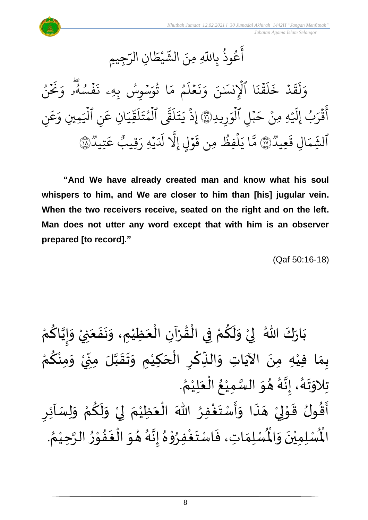ِجِيمِ ِ<br>س ِن الر ا  $\tilde{\xi}$ ط ي **ٔ** سا<br>شه عُوذُ بِاللَّهِ مِنَ الشَّ ُو<br>په و<br>م ِ<br>ج أ

ُ ن  $\frac{1}{2}$  $\tilde{\cdot}$ نخ<br>ح  $\frac{1}{\alpha}$ ج و <sup>و ا</sup><br>فَمُسُهُو وَ ۖ صا<br>ھ  $\ddot{\cdot}$  $\ddot{\cdot}$ سۡوِسُ بِهِۦ ذَ ُ  $\ddot{\phantom{0}}$ ِ<br>م ا ثَوَّ ور ِ<br>م ء<br>م مَ و ر<br>آ ل ع  $\frac{1}{2}$  $\ddot{\cdot}$ بر<br>ڊ  $\frac{1}{c}$ ا ٱلۡإِنسَٰنَ وَ ہ<br>1  $\ddot{\cdot}$ ؞ۧ<br>ۿؘۮؘ  $\frac{1}{2}$ ر<br>آ  $\mathcal{L}$  $\ddot{\cdot}$ خ د ہ<br>ا  $\ddot{\phantom{0}}$ ق .<br>آ ل  $\frac{1}{2}$ و ِرِيدِ  $\frac{1}{2}$ بُلِ الوَ ہ<br>1  $\ddot{\phantom{0}}$  $\overline{\phantom{a}}$ ح هِ ِمن  $\ddot{\phantom{0}}$  $\overline{a}$  $\tilde{1}$ قَرَبُ إِلَيْ إ ُ  $\ddot{\cdot}$ ِ<br>ج اقْرَبُ إِلَيْهِ مِنْ حَبْلِ الْوَرِيدِةِ ۚ إِذْ يَتَلَقَّى الْمُتَلَقِّيَانِ عَنِ الْيَمِينِ وَعَنِ ر<br>م ع  $\frac{1}{\alpha}$ ِمِينِ وَ ر<br>س ہ<br>ا نِ اليَ ِ<br>م ِن ع ا ِ ِ سا<br>مو ق َ<br>ا  $\mathcal{L}$  $\ddot{\phantom{0}}$ المُتَ و ہ<br>1 لية<br>مد قمی ر<br>آ  $\mathcal{L}$  $\ddot{\phantom{0}}$ ت  $\tilde{\cdot}$ ي ِذ  $\ddot{\cdot}$ إ وو<br>۱ عِيد  $\ddot{\phantom{0}}$ ِل ق ا  $\frac{1}{2}$ ِم ه الشِّمَالِ قَعِيدٌ(١٧) وو<br>۱ تِيد ِ<br>م ع ø قِيب ِ هِ ر ي  $\ddot{\phantom{0}}$ ِ<br>أك دل بة<br>1 وَلِي إِلاَ  $\ddot{\phantom{0}}$  $\ddot{\cdot}$ ِمن ق فِظ ل و<br>و ہ<br>آ  $\tilde{\cdot}$ مَّا يَلۡفِظُ مِن قَوۡلٍ إِلَّا لَدَيۡهِ رَقِيبٌ عَتِيدٌ۞

**"And We have already created man and know what his soul whispers to him, and We are closer to him than [his] jugular vein. When the two receivers receive, seated on the right and on the left. Man does not utter any word except that with him is an observer prepared [to record]."**

(Qaf 50:16-18)

ْ بَارَكَ اللّهُ ۖ لِيْ وَلَكُمْ فِي الْقُرْآنِ الْعَظِيْمِ، وَنَفَعَنِيْ وَإِيَّاكُمْ َ  $\ddot{\cdot}$  $\ddot{\phantom{0}}$  $\tilde{\cdot}$ ْ  $\overline{\phantom{a}}$ ْ ْ  $\frac{9}{4}$ ْ ْ <u>و</u>  $\tilde{\mathbf{r}}$  $\frac{1}{2}$ ំ<br>,  $\frac{1}{2}$  $\ddot{\phantom{0}}$ ْ ِ<br>م ن<br>• !<br>-<br>- $\tilde{\cdot}$ بِمَا فِيْهِ مِنَ الآيَاتِ وَالنِّكْرِ الْحَكِيْمِ وَتَقَبَّلَ مِنِّيْ وَمِنْكُمْ ن<br>ا  $\frac{1}{2}$  $\frac{1}{2}$  $\tilde{\cdot}$ ំ<br>រ .<br>-<br>ا ْ<br>مُ  $\overline{\phantom{a}}$ ؚ<br>م  $\ddot{\cdot}$  $\frac{1}{2}$ َ<br>اُس  $\ddot{\phantom{0}}$ ំ<br>រ  $\frac{1}{2}$ ْ ِ<br>م ْ  $\tilde{\cdot}$ **ٔ** '<br>י  $\sum$ . ़<br>१ تِلاوَتَهُ، إِنَّهُ هُوَ السَّمِيْعُ الْعَلِيْمُ ْ َ ֦֧֦֧֦֧֦֧֦֜֜֜֜֜֜֜֜<br>֧֝֜֜֜֜֜֜֜֜֜֜֜֞֟ ُ ْ ا<br>ما  $\frac{1}{2}$  $\frac{1}{2}$ ر<br>ر<br>ار لة<br>•  $\frac{1}{2}$ .<br>ر<br>ا  $\ddot{\ }$  $\frac{1}{2}$  $\sum$ أَقُولُ قَوْلِيْ هَذَا وَأَسْتَغْفِرُ اللّٰهَ الْعَظِيْمَ لِيْ وَلَكُمْ وَلِسَاْئِرِ  $\tilde{\cdot}$ ْ <u>ہ</u>  $\tilde{\mathbf{r}}$  $\tilde{\cdot}$ ْ إ  $\frac{1}{2}$ ْ َ ْ ∫<br>∕ ِ<br>وف  $\frac{1}{2}$  $\frac{1}{2}$  $\frac{1}{2}$ .<br>مو  $\overline{a}$ ំ<br>, لمح י<br>י  $\frac{1}{2}$  $\frac{9}{2}$  $\frac{1}{2}$ . ُ ر<br>لَّمُسْلِمَاتِ، فَاسْتَغْفِرُوْهُ إِنَّهُ هُوَ الْغَفُوْرُ الرَّحِيْمُ ْ ن<br>م  $\frac{1}{2}$ ֦֧֦֧֦֦֧֦֧֦֧֦֧֦֧֦֧֦֧֦֧֦֝֟֓<br>**֧** ِ<br>ِ••  $\ddot{\phantom{0}}$ ا<br>ا  $\frac{1}{2}$  $\frac{1}{2}$ ्<br>१ ن<br>•<br>•  $\frac{1}{2}$ ُ י<br>י **ہ**<br>د ِ<br>وفيات  $\frac{1}{2}$  $\ddot{\cdot}$  $\frac{1}{2}$ ر۔<br>لْمُسْلِمِيْنَ وَالْمُ  $\frac{1}{2}$  $\ddot{\phantom{0}}$ ់<br>**់** الْم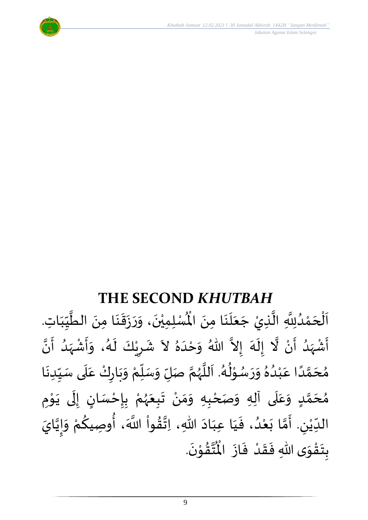

## **THE SECOND** *KHUTBAH*

للسلمِيْنَ، وَرَزَقَنَا مِنَ الطَّيِّبَاتِ  $\frac{1}{1}$ しんこ  $\frac{1}{2}$ ن<br>ا  $\ddot{\phantom{0}}$ ।<br>◆<br>◆  $\frac{1}{2}$  $\ddot{\cdot}$  $\frac{1}{2}$  $\tilde{\cdot}$  $\ddot{\phantom{0}}$ ់<br>**រ** اَلْحَمْدُلِلَّهِ الَّذِيْ جَعَلَنَا مِنَ الْمُسْلِمِيْنَ، وَرَزَقَنَا مِنَ الطَّيِّبَاتِ.  $\ddot{\phantom{0}}$  $\ddot{\phantom{0}}$ َ<br>الم  $\frac{1}{2}$  $\ddot{\phantom{0}}$ ا<br>ا ان<br>ا و<br>و **ٔ**  $\overline{\phantom{a}}$ ֦֧֦֧֦֧֦֧֦֧֦֧֦֧֜֜֜֜֓֓֟֓֟֓֜֜֜֜֜֜֜<br>**֡**  $\overline{\phantom{a}}$ ا<br>ا أَشْهَدُ أَنْ لَّا إِلَهَ إِلاَّ اللّهُ وَحْدَهُ لاَ شَرِيْكَ لَهُ، وَأَشْهَدُ أَنَّ ْ ر<br>پنج و<br>ا  $\frac{1}{2}$ ْ  $\tilde{\mathbf{z}}$ الا ر<br>سا  $\tilde{\cdot}$  $\frac{1}{2}$  $\lambda$  $\frac{1}{2}$ ِ<br>ا  $\tilde{\cdot}$ ا<br>با<br>• -<br>با بر<br>د  $\frac{1}{2}$ ْ  $\frac{1}{2}$  $\tilde{\cdot}$ د<br>گ  $\tilde{\mathbf{r}}$ ْ  $\overline{\phantom{a}}$  $\frac{1}{2}$  $\tilde{\cdot}$ مُحَمَّدًا عَبْدُهُ وَرَسُوْلُهُ. اَللَّهُمَّ صَلِّ وَسَلِّمْ وَبَارِكْ عَلَى سَبِّدِنَا ْ ์<br>ผู้  $\overline{L}$  $\tilde{\cdot}$ ن<br>م و<br>ر<br>ر ا<br>آ  $\overline{\phantom{a}}$ و<br>گ  $\frac{1}{2}$ י<br>י و<br>م  $\frac{1}{2}$  $\frac{1}{2}$  $\frac{1}{\lambda}$ و<br>و ْ .<br>م ً<br>أ ت<br>م  $\overline{\phantom{a}}$  $\frac{1}{2}$  $\ddot{\phantom{0}}$  $\frac{1}{1}$  $\frac{1}{2}$ `<br>أ .<br>م ّ  $\ddot{\phantom{0}}$ مُحَمَّدٍ وَعَلَى آلِهِ وَصَحْبِهِ وَمَنْ تَبِعَهُمْ بِإِحْسَانٍ إِلَى يَوْمِ <u>ل</u> تة<br>م  $\overline{\phantom{a}}$  $\frac{1}{2}$ َ ً<br>م  $\tilde{\cdot}$ ֦֧֦֦֧֦֦֦֧֦֦֦֧֦֧֦֝֝֝֟֓֟֓֟֓<br>**֧** ़<br>-<br>• َ ل  $\frac{1}{2}$ )<br>=<br>= ْ <u>د</u><br>: ៝<br>៝ و<br>ر<br>ر َ  $\ddot{\phantom{0}}$ ْ  $\frac{1}{2}$ ์ $\tilde{\cdot}$ ֦֧<u>֦</u> الدِّيْنِ. أَمَّا بَعْدُ، فَيَا عِبَادَ اللّهِ، اِتَّقُواْ اللَّهَ، أُوصِيكُمْ وَإِيَّايَ اتا<br>م |<br>-<br>-<br>- $\tilde{\cdot}$ ۔<br>∗ ِ<br>م ∫<br>م ْ ُ<br>مو ن<br>\*  $\sim$ َ َ  $\frac{1}{2}$ ٍ<br>ا ំ<br>រ  $\ddot{\phantom{0}}$ تا<br>م  $\frac{1}{2}$ ليا ّٰ<br>ْ  $\frac{1}{\sqrt{2}}$ .  $\ddot{\phantom{0}}$ تقُوْنَ י<br>י  $\frac{1}{2}$ ا<br>این<br>جو ُ<br>مو بِتَقْوَى اللّهِ فَقَدْ فَازَ الْمُ  $\ddot{\phantom{0}}$  $\frac{1}{2}$ ْ  $\frac{1}{2}$  $\frac{1}{2}$  $\frac{1}{2}$ ّ<br>مو  $\ddot{\ }$  $\ddot{\cdot}$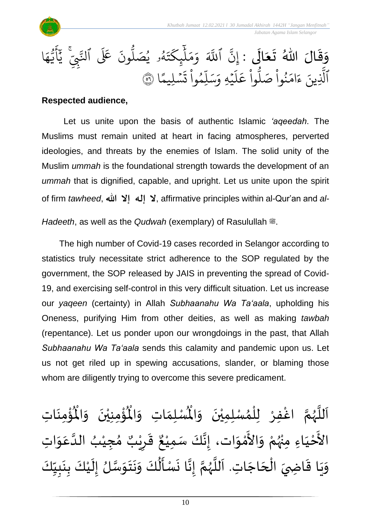

#### **Respected audience,**

Let us unite upon the basis of authentic Islamic *'aqeedah*. The Muslims must remain united at heart in facing atmospheres, perverted ideologies, and threats by the enemies of Islam. The solid unity of the Muslim *ummah* is the foundational strength towards the development of an *ummah* that is dignified, capable, and upright. Let us unite upon the spirit of firm *tawheed*, الله إلا الله عبد إ $\lambda$ , affirmative principles within al-Qur'an and *al-*

*Hadeeth*, as well as the *Qudwah* (exemplary) of Rasulullah  $\ddot{m}$ .

The high number of Covid-19 cases recorded in Selangor according to statistics truly necessitate strict adherence to the SOP regulated by the government, the SOP released by JAIS in preventing the spread of Covid-19, and exercising self-control in this very difficult situation. Let us increase our *yaqeen* (certainty) in Allah *Subhaanahu Wa Ta'aala*, upholding his Oneness, purifying Him from other deities, as well as making *tawbah* (repentance). Let us ponder upon our wrongdoings in the past, that Allah *Subhaanahu Wa Ta'aala* sends this calamity and pandemic upon us. Let us not get riled up in spewing accusations, slander, or blaming those whom are diligently trying to overcome this severe predicament.

ؙۊؙٝڡؚڹؘٳؾؚ  $\ddot{\phantom{0}}$ ْ<br>باللہ ُْ ُؤْمِنِيْنَ ۖ وَالْمُ  $\tilde{\cdot}$  $\ddot{\phantom{0}}$ ْ ْ<br>بِ  $\mathbf{r}^{\circ}$ ِ<br>لْمُسْلِمَاتِ وَالْمُ  $\tilde{\cdot}$  $\frac{1}{2}$ ِ<br>اَللَّهُمَّ اغْفِرْ لِلْمُسْلِمِيْنَ وَالْمُ  $\tilde{\cdot}$  $\ddot{\phantom{0}}$ ់<br>**រ** ,<br>^ ់<br>ព្រ ِ<br>و ن<br>م ر<br>ر<br>ر ا<br>آ ً<br>أ الأَحْيَاءِ مِنْهُمْ وَالأَمْوَات، إِنَّكَ سَمِيْعٌ قَرِيْبٌ مُجِيْبُ الدَّ َ ֦֧<u>֦</u> -<br>ءِ ْ بو<br>زړ ْ  $\frac{1}{2}$ י<br>ה -<br>ع  $\frac{1}{2}$ ا<br>ا ُ ْ  $\frac{1}{2}$ ه<br>د ا قَرِرْ  $\overline{\phantom{a}}$  $\ddot{\ddot{\cdot}}$ ٌ ، إِنَّكَ سَمِيْعٌ قَرِيْبٌ مُجِيْبُ الدَّعَوَاتِ ْ ن<br>•<br>•  $\ddot{\ }$ .<br>م وَيَا قَاضِيَ الْحَاجَاتِ. اَللَّهُمَّ إِنَّا نَسْأَلُكَ وَنَتَوَسَّلُ إِلَيْكَ بِنَبِيِّكَ  $\frac{1}{1}$  $\frac{1}{2}$ L<br>:  $\ddot{\phantom{0}}$  $\frac{1}{2}$ ْ ें  $\frac{1}{2}$ ان<br>مرا  $\ddot{\ }$  $\ddot{\phantom{0}}$  $\ddot{\phantom{0}}$ َ<br>م ے<br>م  $\frac{1}{2}$  $\ddot{\phantom{0}}$ بة<br>•  $\frac{1}{2}$ ن<br>م ر<br>ر ا<br>آ َ  $\overline{\phantom{a}}$ ׁ<br>ו  $\frac{1}{2}$  $\frac{1}{2}$  $\ddot{\phantom{0}}$  $\frac{1}{2}$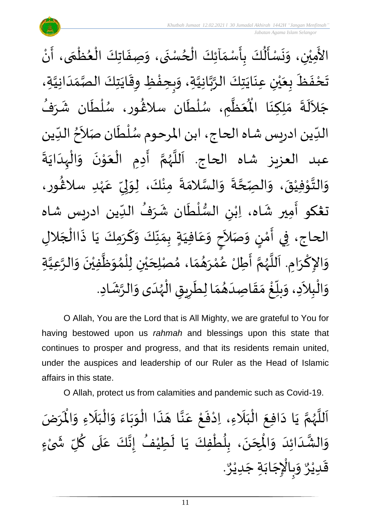

O Allah, You are the Lord that is All Mighty, we are grateful to You for having bestowed upon us *rahmah* and blessings upon this state that continues to prosper and progress, and that its residents remain united, under the auspices and leadership of our Ruler as the Head of Islamic affairs in this state.

O Allah, protect us from calamities and pandemic such as Covid-19.

ن<br>م اَللَّهُمَّ يَا دَافِعَ الْبَلَاءِ، اِدْفَعْ عَنَّا هَذَا الْوَبَاءَ وَالْبَلَاءِ وَالْمَرَضَ و<br>ر ا<br>آ ً<br>آ  $\ddot{\phantom{0}}$  $\overline{\phantom{a}}$ اتا<br>ج .<br>م ֦֧<u>֦</u>  $\ddot{\cdot}$ ٝ<br>۠ َ<br>ا  $\frac{1}{2}$ ֦֧֦֧֦֧֦֧֦֧֦֧֦֧֜֜֜֜֓֓<br>֧ׅׅ֜֜֜֜֜֜֜֜֜֜֜֜֜֜֜֝֜֜֬֟  $\ddot{\phantom{0}}$  $\sim$  $\ddot{\phantom{0}}$ ا الْوَبَاءَ وَالْبَلَاءِ وَالْمُ  $\tilde{\cdot}$ ً<br>ن  $\frac{1}{1}$ ْ  $\tilde{\cdot}$  $\frac{1}{2}$  $\ddot{\phantom{0}}$  $\frac{1}{2}$ ْ ى<br>وَالْشَّدَائِدَ وَالْمِحَنَ، بِلُطْفِكَ يَا لَطِيْفُ إِنَّكَ عَلَى كُلِّ شَىْءٍ **∶** ْ ์ $\frac{1}{2}$ ُ َ<br>ا .<br>م اله<br>بان<br>با  $\frac{1}{2}$ ُ  $\tilde{\mathbf{r}}$  $\ddot{\phantom{0}}$ ْ ٍ<br>ا <u>ر</u><br>- $\ddot{\phantom{0}}$  $\overline{\phantom{a}}$ )<br>°  $\frac{1}{2}$ َ َ نه<br>په  $\frac{1}{2}$ . و<br>م وَبِالْإِجَابَةِ جَدِيْرٌ ٝ<br>ؙ  $\overline{\phantom{a}}$  $\ddot{\phantom{0}}$  $\ddot{\phantom{0}}$ ֦֧֦֧֦֧֦֧֦֧֦֧֦֧֜֜֜֓֓֓<br>֧֝֜֜֜֜֜֜֜֜֜֟֓֬֝֓֟ ر<br>م  $\frac{1}{2}$ و<br>م قَدِيْرٌ ٝ<br>ؙ  $\frac{1}{2}$